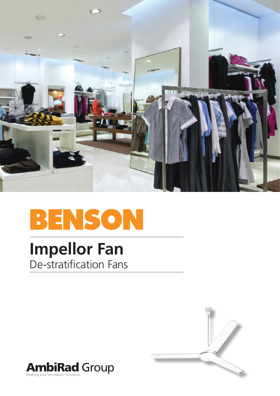

## BENSON

# **Impellor Fan**<br>De-stratification Fans